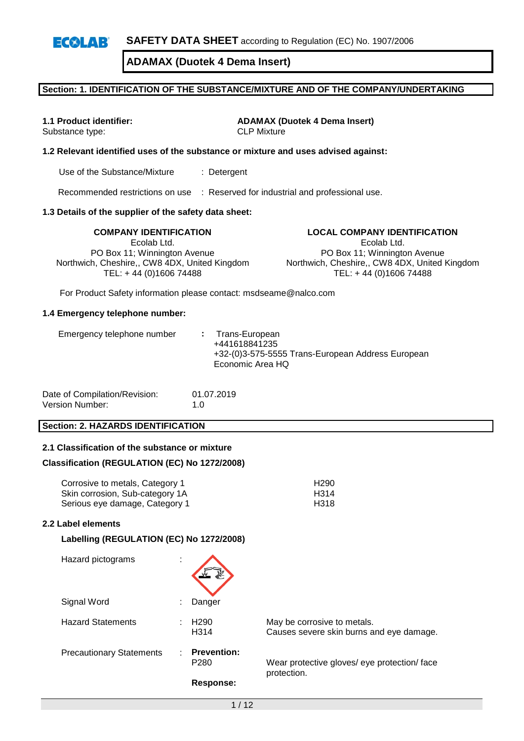# **Section: 1. IDENTIFICATION OF THE SUBSTANCE/MIXTURE AND OF THE COMPANY/UNDERTAKING**

**1.1 Product identifier: ADAMAX (Duotek 4 Dema Insert)** Substance type: CLP Mixture

#### **1.2 Relevant identified uses of the substance or mixture and uses advised against:**

Use of the Substance/Mixture : Detergent

Recommended restrictions on use : Reserved for industrial and professional use.

#### **1.3 Details of the supplier of the safety data sheet:**

**COMPANY IDENTIFICATION LOCAL COMPANY IDENTIFICATION** Ecolab Ltd. PO Box 11; Winnington Avenue Northwich, Cheshire,, CW8 4DX, United Kingdom TEL: + 44 (0)1606 74488

Ecolab Ltd.

PO Box 11; Winnington Avenue Northwich, Cheshire,, CW8 4DX, United Kingdom TEL: + 44 (0)1606 74488

For Product Safety information please contact: msdseame@nalco.com

#### **1.4 Emergency telephone number:**

| Emergency telephone number |  | : Trans-European<br>+441618841235<br>+32-(0)3-575-5555 Trans-European Address European<br>Economic Area HQ |
|----------------------------|--|------------------------------------------------------------------------------------------------------------|
|----------------------------|--|------------------------------------------------------------------------------------------------------------|

| Date of Compilation/Revision: | 01.07.2019 |
|-------------------------------|------------|
| Version Number:               | 1.0        |

## **Section: 2. HAZARDS IDENTIFICATION**

## **2.1 Classification of the substance or mixture**

#### **Classification (REGULATION (EC) No 1272/2008)**

| Corrosive to metals, Category 1 | H <sub>290</sub> |
|---------------------------------|------------------|
| Skin corrosion, Sub-category 1A | H314             |
| Serious eye damage, Category 1  | H318             |

#### **2.2 Label elements**

#### **Labelling (REGULATION (EC) No 1272/2008)**

| Hazard pictograms               | ٠<br>$\mathbf{r}$ |                                        |                                                                         |
|---------------------------------|-------------------|----------------------------------------|-------------------------------------------------------------------------|
| Signal Word                     |                   | Danger                                 |                                                                         |
| <b>Hazard Statements</b>        |                   | H <sub>290</sub><br>H <sub>3</sub> 14  | May be corrosive to metals.<br>Causes severe skin burns and eye damage. |
| <b>Precautionary Statements</b> |                   | <b>Prevention:</b><br>P <sub>280</sub> | Wear protective gloves/ eye protection/ face<br>protection.             |
|                                 |                   | Response:                              |                                                                         |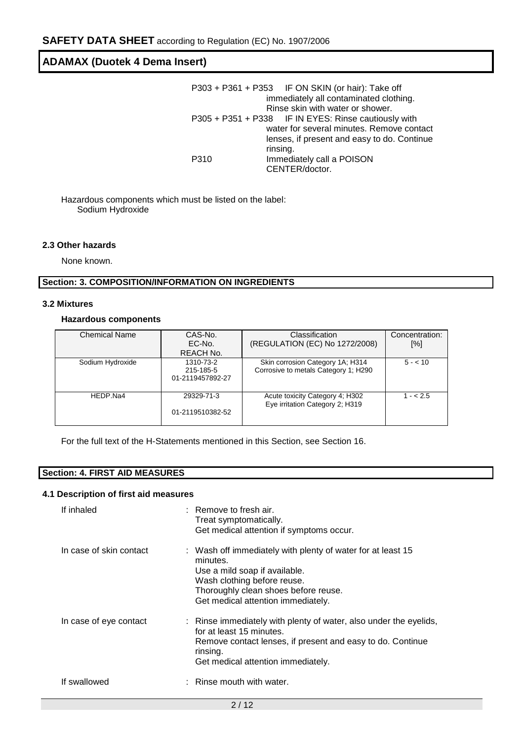|      | P303 + P361 + P353 IF ON SKIN (or hair): Take off    |
|------|------------------------------------------------------|
|      | immediately all contaminated clothing.               |
|      | Rinse skin with water or shower.                     |
|      | P305 + P351 + P338 IF IN EYES: Rinse cautiously with |
|      | water for several minutes. Remove contact            |
|      | lenses, if present and easy to do. Continue          |
|      | rinsing.                                             |
| P310 | Immediately call a POISON                            |
|      | CENTER/doctor.                                       |

Hazardous components which must be listed on the label: Sodium Hydroxide

#### **2.3 Other hazards**

None known.

## **Section: 3. COMPOSITION/INFORMATION ON INGREDIENTS**

#### **3.2 Mixtures**

## **Hazardous components**

| <b>Chemical Name</b> | CAS-No.          | Classification                                                     | Concentration: |
|----------------------|------------------|--------------------------------------------------------------------|----------------|
|                      | EC-No.           | (REGULATION (EC) No 1272/2008)                                     | [%]            |
|                      | REACH No.        |                                                                    |                |
| Sodium Hydroxide     | 1310-73-2        | Skin corrosion Category 1A; H314                                   | $5 - 10$       |
|                      | 215-185-5        | Corrosive to metals Category 1; H290                               |                |
|                      | 01-2119457892-27 |                                                                    |                |
|                      |                  |                                                                    |                |
| HEDP.Na4             | 29329-71-3       | Acute toxicity Category 4; H302<br>Eye irritation Category 2; H319 | $1 - 2.5$      |
|                      | 01-2119510382-52 |                                                                    |                |
|                      |                  |                                                                    |                |

For the full text of the H-Statements mentioned in this Section, see Section 16.

# **Section: 4. FIRST AID MEASURES**

#### **4.1 Description of first aid measures**

| If inhaled              | $:$ Remove to fresh air.<br>Treat symptomatically.<br>Get medical attention if symptoms occur.                                                                                                                        |
|-------------------------|-----------------------------------------------------------------------------------------------------------------------------------------------------------------------------------------------------------------------|
| In case of skin contact | : Wash off immediately with plenty of water for at least 15<br>minutes.<br>Use a mild soap if available.<br>Wash clothing before reuse.<br>Thoroughly clean shoes before reuse.<br>Get medical attention immediately. |
| In case of eye contact  | : Rinse immediately with plenty of water, also under the eyelids,<br>for at least 15 minutes.<br>Remove contact lenses, if present and easy to do. Continue<br>rinsing.<br>Get medical attention immediately.         |
| If swallowed            | $:$ Rinse mouth with water.                                                                                                                                                                                           |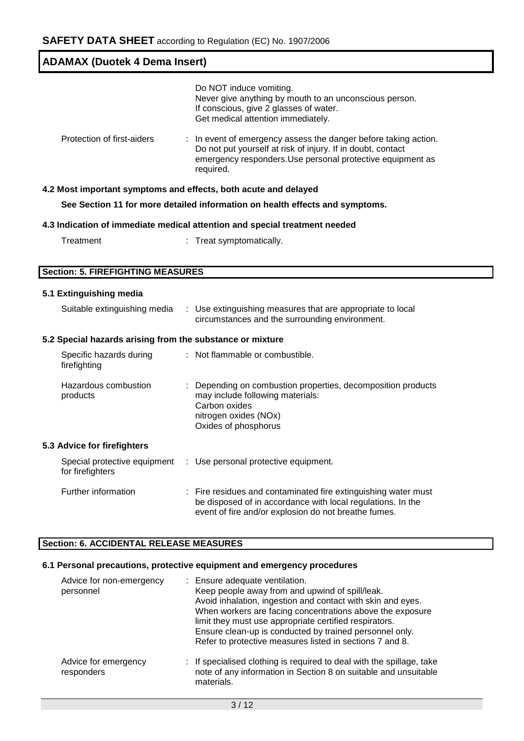| <b>ADAMAX (Duotek 4 Dema Insert)</b>                            |                                                                                                                                                                                                           |  |  |  |  |
|-----------------------------------------------------------------|-----------------------------------------------------------------------------------------------------------------------------------------------------------------------------------------------------------|--|--|--|--|
|                                                                 | Do NOT induce vomiting.<br>Never give anything by mouth to an unconscious person.<br>If conscious, give 2 glasses of water.<br>Get medical attention immediately.                                         |  |  |  |  |
| Protection of first-aiders                                      | : In event of emergency assess the danger before taking action.<br>Do not put yourself at risk of injury. If in doubt, contact<br>emergency responders. Use personal protective equipment as<br>required. |  |  |  |  |
| 4.2 Most important symptoms and effects, both acute and delayed |                                                                                                                                                                                                           |  |  |  |  |
|                                                                 | See Section 11 for more detailed information on health effects and symptoms.                                                                                                                              |  |  |  |  |
|                                                                 | 4.3 Indication of immediate medical attention and special treatment needed                                                                                                                                |  |  |  |  |
| Treatment                                                       | : Treat symptomatically.                                                                                                                                                                                  |  |  |  |  |
|                                                                 |                                                                                                                                                                                                           |  |  |  |  |
| <b>Section: 5. FIREFIGHTING MEASURES</b>                        |                                                                                                                                                                                                           |  |  |  |  |
| 5.1 Extinguishing media                                         |                                                                                                                                                                                                           |  |  |  |  |
| Suitable extinguishing media                                    | : Use extinguishing measures that are appropriate to local<br>circumstances and the surrounding environment.                                                                                              |  |  |  |  |
| 5.2 Special hazards arising from the substance or mixture       |                                                                                                                                                                                                           |  |  |  |  |
| Specific hazards during<br>firefighting                         | : Not flammable or combustible.                                                                                                                                                                           |  |  |  |  |
| Hazardous combustion<br>products                                | : Depending on combustion properties, decomposition products<br>may include following materials:<br>Carbon oxides<br>nitrogen oxides (NOx)<br>Oxides of phosphorus                                        |  |  |  |  |
| 5.3 Advice for firefighters                                     |                                                                                                                                                                                                           |  |  |  |  |
| Special protective equipment<br>for firefighters                | : Use personal protective equipment.                                                                                                                                                                      |  |  |  |  |
| Further information                                             | Fire residues and contaminated fire extinguishing water must<br>be disposed of in accordance with local regulations. In the<br>event of fire and/or explosion do not breathe fumes.                       |  |  |  |  |

# **Section: 6. ACCIDENTAL RELEASE MEASURES**

# **6.1 Personal precautions, protective equipment and emergency procedures**

| Advice for non-emergency<br>personnel | : Ensure adequate ventilation.<br>Keep people away from and upwind of spill/leak.<br>Avoid inhalation, ingestion and contact with skin and eyes.<br>When workers are facing concentrations above the exposure<br>limit they must use appropriate certified respirators.<br>Ensure clean-up is conducted by trained personnel only.<br>Refer to protective measures listed in sections 7 and 8. |
|---------------------------------------|------------------------------------------------------------------------------------------------------------------------------------------------------------------------------------------------------------------------------------------------------------------------------------------------------------------------------------------------------------------------------------------------|
| Advice for emergency<br>responders    | : If specialised clothing is required to deal with the spillage, take<br>note of any information in Section 8 on suitable and unsuitable<br>materials.                                                                                                                                                                                                                                         |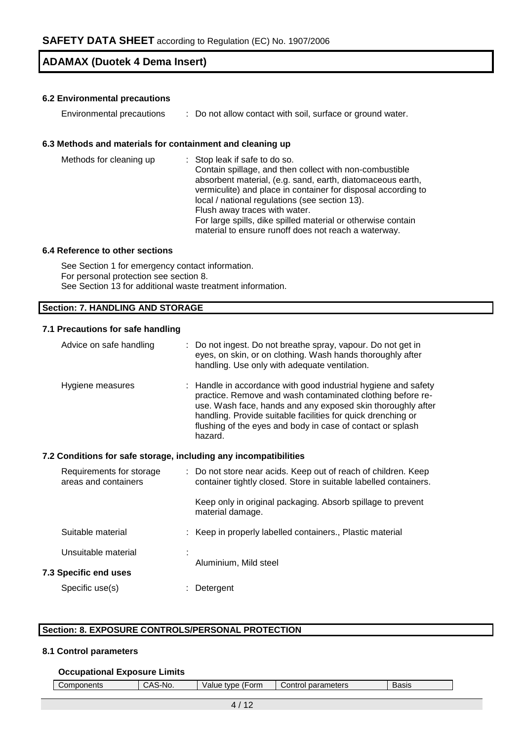## **6.2 Environmental precautions**

| Environmental precautions |  | Do not allow contact with soil, surface or ground water. |  |
|---------------------------|--|----------------------------------------------------------|--|
|---------------------------|--|----------------------------------------------------------|--|

## **6.3 Methods and materials for containment and cleaning up**

| Methods for cleaning up | : Stop leak if safe to do so.<br>Contain spillage, and then collect with non-combustible<br>absorbent material, (e.g. sand, earth, diatomaceous earth,<br>vermiculite) and place in container for disposal according to<br>local / national regulations (see section 13).<br>Flush away traces with water.<br>For large spills, dike spilled material or otherwise contain<br>material to ensure runoff does not reach a waterway. |
|-------------------------|------------------------------------------------------------------------------------------------------------------------------------------------------------------------------------------------------------------------------------------------------------------------------------------------------------------------------------------------------------------------------------------------------------------------------------|
|-------------------------|------------------------------------------------------------------------------------------------------------------------------------------------------------------------------------------------------------------------------------------------------------------------------------------------------------------------------------------------------------------------------------------------------------------------------------|

## **6.4 Reference to other sections**

See Section 1 for emergency contact information. For personal protection see section 8. See Section 13 for additional waste treatment information.

# **Section: 7. HANDLING AND STORAGE**

# **7.1 Precautions for safe handling**

|                              | Advice on safe handling                                          |  | : Do not ingest. Do not breathe spray, vapour. Do not get in<br>eyes, on skin, or on clothing. Wash hands thoroughly after<br>handling. Use only with adequate ventilation.                                                                                                                                                          |  |  |  |
|------------------------------|------------------------------------------------------------------|--|--------------------------------------------------------------------------------------------------------------------------------------------------------------------------------------------------------------------------------------------------------------------------------------------------------------------------------------|--|--|--|
|                              | Hygiene measures                                                 |  | : Handle in accordance with good industrial hygiene and safety<br>practice. Remove and wash contaminated clothing before re-<br>use. Wash face, hands and any exposed skin thoroughly after<br>handling. Provide suitable facilities for quick drenching or<br>flushing of the eyes and body in case of contact or splash<br>hazard. |  |  |  |
|                              | 7.2 Conditions for safe storage, including any incompatibilities |  |                                                                                                                                                                                                                                                                                                                                      |  |  |  |
|                              | Requirements for storage<br>areas and containers                 |  | : Do not store near acids. Keep out of reach of children. Keep<br>container tightly closed. Store in suitable labelled containers.                                                                                                                                                                                                   |  |  |  |
|                              |                                                                  |  | Keep only in original packaging. Absorb spillage to prevent<br>material damage.                                                                                                                                                                                                                                                      |  |  |  |
|                              | Suitable material                                                |  | : Keep in properly labelled containers., Plastic material                                                                                                                                                                                                                                                                            |  |  |  |
|                              | Unsuitable material                                              |  |                                                                                                                                                                                                                                                                                                                                      |  |  |  |
| <b>7.3 Specific end uses</b> |                                                                  |  | Aluminium, Mild steel                                                                                                                                                                                                                                                                                                                |  |  |  |
|                              | Specific use(s)                                                  |  | Detergent                                                                                                                                                                                                                                                                                                                            |  |  |  |

# **Section: 8. EXPOSURE CONTROLS/PERSONAL PROTECTION**

# **8.1 Control parameters**

#### **Occupational Exposure Limits**

| (Form<br>parameters<br>Components<br>∻No.<br>tvpe<br><b>Basis</b><br>alue!<br>onr,<br>.<br>┄ |
|----------------------------------------------------------------------------------------------|
|----------------------------------------------------------------------------------------------|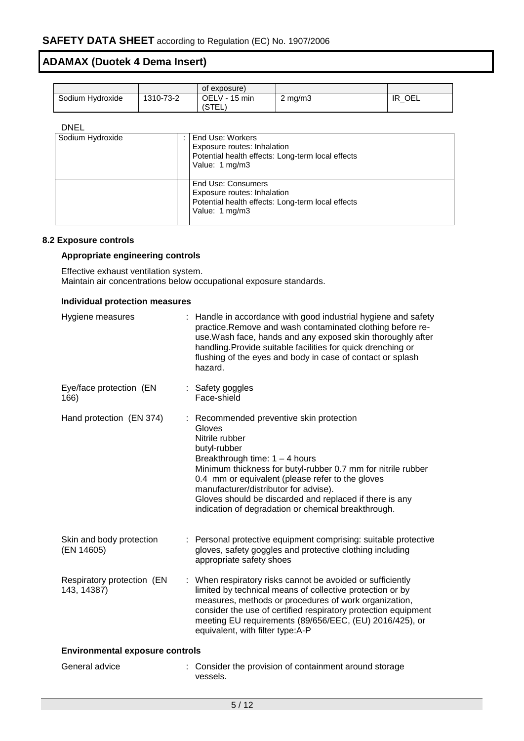|                  |           | of exposure)               |         |           |
|------------------|-----------|----------------------------|---------|-----------|
| Sodium Hydroxide | 1310-73-2 | OELV -<br>15 min<br>(STEL. | ∠ mg/m3 | OEL<br>ΙR |

## DNEL

| Sodium Hydroxide | End Use: Workers<br>Exposure routes: Inhalation<br>Potential health effects: Long-term local effects<br>Value: 1 mg/m3   |
|------------------|--------------------------------------------------------------------------------------------------------------------------|
|                  | End Use: Consumers<br>Exposure routes: Inhalation<br>Potential health effects: Long-term local effects<br>Value: 1 mg/m3 |

## **8.2 Exposure controls**

# **Appropriate engineering controls**

Effective exhaust ventilation system. Maintain air concentrations below occupational exposure standards.

#### **Individual protection measures**

| Hygiene measures                          | : Handle in accordance with good industrial hygiene and safety<br>practice. Remove and wash contaminated clothing before re-<br>use. Wash face, hands and any exposed skin thoroughly after<br>handling. Provide suitable facilities for quick drenching or<br>flushing of the eyes and body in case of contact or splash<br>hazard.                                                                    |
|-------------------------------------------|---------------------------------------------------------------------------------------------------------------------------------------------------------------------------------------------------------------------------------------------------------------------------------------------------------------------------------------------------------------------------------------------------------|
| Eye/face protection (EN<br>166)           | : Safety goggles<br>Face-shield                                                                                                                                                                                                                                                                                                                                                                         |
| Hand protection (EN 374)                  | : Recommended preventive skin protection<br>Gloves<br>Nitrile rubber<br>butyl-rubber<br>Breakthrough time: $1 - 4$ hours<br>Minimum thickness for butyl-rubber 0.7 mm for nitrile rubber<br>0.4 mm or equivalent (please refer to the gloves<br>manufacturer/distributor for advise).<br>Gloves should be discarded and replaced if there is any<br>indication of degradation or chemical breakthrough. |
| Skin and body protection<br>(EN 14605)    | : Personal protective equipment comprising: suitable protective<br>gloves, safety goggles and protective clothing including<br>appropriate safety shoes                                                                                                                                                                                                                                                 |
| Respiratory protection (EN<br>143, 14387) | : When respiratory risks cannot be avoided or sufficiently<br>limited by technical means of collective protection or by<br>measures, methods or procedures of work organization,<br>consider the use of certified respiratory protection equipment<br>meeting EU requirements (89/656/EEC, (EU) 2016/425), or<br>equivalent, with filter type:A-P                                                       |
| <b>Environmental exposure controls</b>    |                                                                                                                                                                                                                                                                                                                                                                                                         |
| General advice                            | Consider the provision of containment around storage<br>vessels.                                                                                                                                                                                                                                                                                                                                        |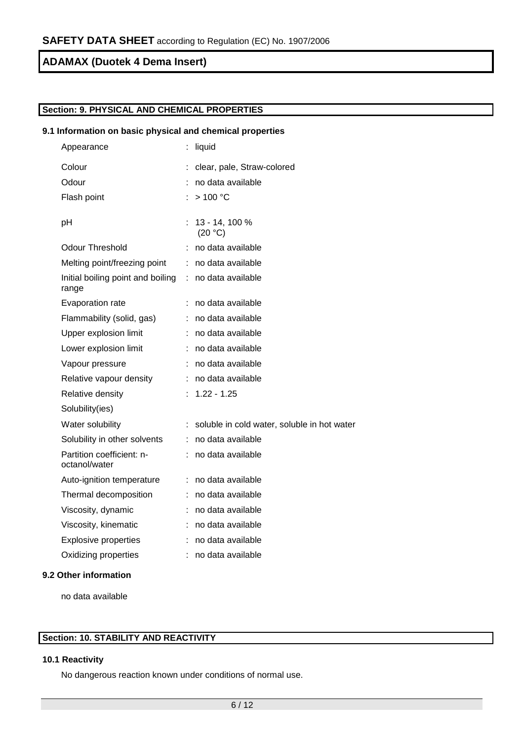# **Section: 9. PHYSICAL AND CHEMICAL PROPERTIES**

## **9.1 Information on basic physical and chemical properties**

| Appearance                                 |    | liquid                                      |
|--------------------------------------------|----|---------------------------------------------|
| Colour                                     |    | clear, pale, Straw-colored                  |
| Odour                                      | ÷. | no data available                           |
| Flash point                                |    | >100 °C                                     |
| pH                                         |    | 13 - 14, 100 %<br>(20 °C)                   |
| <b>Odour Threshold</b>                     |    | no data available                           |
| Melting point/freezing point               |    | : no data available                         |
| Initial boiling point and boiling<br>range | ÷. | no data available                           |
| Evaporation rate                           |    | no data available                           |
| Flammability (solid, gas)                  |    | : no data available                         |
| Upper explosion limit                      | t. | no data available                           |
| Lower explosion limit                      |    | no data available                           |
| Vapour pressure                            | t. | no data available                           |
| Relative vapour density                    | t. | no data available                           |
| Relative density                           |    | $1.22 - 1.25$                               |
| Solubility(ies)                            |    |                                             |
| Water solubility                           | ÷. | soluble in cold water, soluble in hot water |
| Solubility in other solvents               |    | no data available                           |
| Partition coefficient: n-<br>octanol/water | t. | no data available                           |
| Auto-ignition temperature                  |    | : no data available                         |
| Thermal decomposition                      | ÷. | no data available                           |
| Viscosity, dynamic                         | ÷. | no data available                           |
| Viscosity, kinematic                       |    | : no data available                         |
| <b>Explosive properties</b>                |    | no data available                           |
| Oxidizing properties                       | ÷  | no data available                           |
|                                            |    |                                             |

# **9.2 Other information**

no data available

# **Section: 10. STABILITY AND REACTIVITY**

# **10.1 Reactivity**

No dangerous reaction known under conditions of normal use.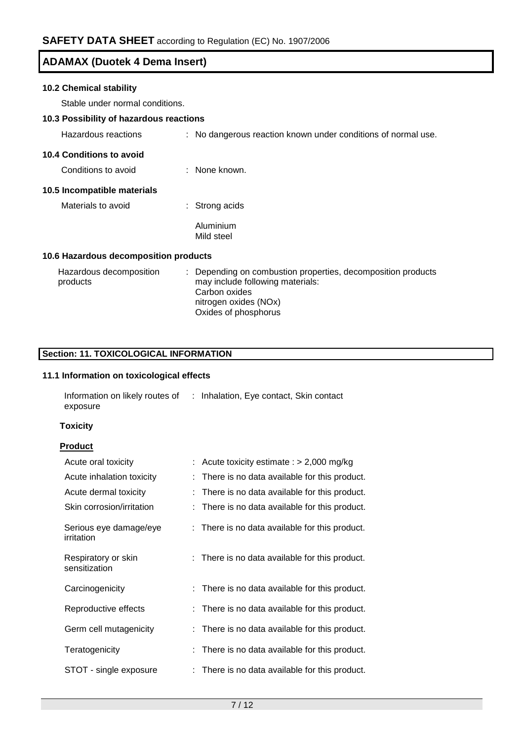# **10.2 Chemical stability**

Stable under normal conditions.

# **10.3 Possibility of hazardous reactions**

| Hazardous reactions                   | : No dangerous reaction known under conditions of normal use.                                                   |
|---------------------------------------|-----------------------------------------------------------------------------------------------------------------|
| <b>10.4 Conditions to avoid</b>       |                                                                                                                 |
| Conditions to avoid                   | : None known.                                                                                                   |
| 10.5 Incompatible materials           |                                                                                                                 |
| Materials to avoid                    | : Strong acids                                                                                                  |
|                                       | Aluminium<br>Mild steel                                                                                         |
| 10.6 Hazardous decomposition products |                                                                                                                 |
| Hazardous decomposition<br>products   | Depending on combustion properties, decomposition products<br>may include following materials:<br>Carbon oxides |

nitrogen oxides (NOx) Oxides of phosphorus

# **Section: 11. TOXICOLOGICAL INFORMATION**

# **11.1 Information on toxicological effects**

| Information on likely routes of | : Inhalation, Eye contact, Skin contact |  |
|---------------------------------|-----------------------------------------|--|
| exposure                        |                                         |  |

## **Toxicity**

# **Product**

| Acute oral toxicity                  | Acute toxicity estimate : $> 2,000$ mg/kg      |
|--------------------------------------|------------------------------------------------|
| Acute inhalation toxicity            | There is no data available for this product.   |
| Acute dermal toxicity                | There is no data available for this product.   |
| Skin corrosion/irritation            | : There is no data available for this product. |
| Serious eye damage/eye<br>irritation | : There is no data available for this product. |
| Respiratory or skin<br>sensitization | : There is no data available for this product. |
| Carcinogenicity                      | : There is no data available for this product. |
| Reproductive effects                 | : There is no data available for this product. |
| Germ cell mutagenicity               | There is no data available for this product.   |
| Teratogenicity                       | : There is no data available for this product. |
| STOT - single exposure               | : There is no data available for this product. |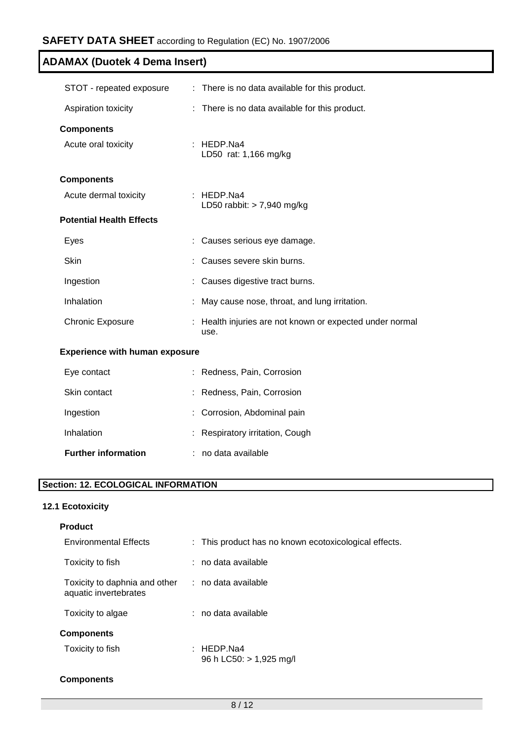| STOT - repeated exposure              | : There is no data available for this product.                   |
|---------------------------------------|------------------------------------------------------------------|
| Aspiration toxicity                   | : There is no data available for this product.                   |
| <b>Components</b>                     |                                                                  |
| Acute oral toxicity                   | : HEDP.Na4<br>LD50 rat: 1,166 mg/kg                              |
| <b>Components</b>                     |                                                                  |
| Acute dermal toxicity                 | : HEDP.Na4<br>LD50 rabbit: $> 7,940$ mg/kg                       |
| <b>Potential Health Effects</b>       |                                                                  |
| Eyes                                  | Causes serious eye damage.                                       |
| Skin                                  | Causes severe skin burns.                                        |
| Ingestion                             | Causes digestive tract burns.                                    |
| Inhalation                            | May cause nose, throat, and lung irritation.                     |
| <b>Chronic Exposure</b>               | : Health injuries are not known or expected under normal<br>use. |
| <b>Experience with human exposure</b> |                                                                  |
| Eye contact                           | Redness, Pain, Corrosion                                         |
| Skin contact                          | Redness, Pain, Corrosion                                         |
| Ingestion                             | Corrosion, Abdominal pain                                        |

| Inhalation | : Respiratory irritation, Cough |  |
|------------|---------------------------------|--|
|            |                                 |  |

| <b>Further information</b> | no data available |
|----------------------------|-------------------|
|----------------------------|-------------------|

# **Section: 12. ECOLOGICAL INFORMATION**

# **12.1 Ecotoxicity**

| <b>Product</b>                                         |                                                       |
|--------------------------------------------------------|-------------------------------------------------------|
| <b>Environmental Effects</b>                           | : This product has no known ecotoxicological effects. |
| Toxicity to fish                                       | : no data available                                   |
| Toxicity to daphnia and other<br>aquatic invertebrates | : no data available                                   |
| Toxicity to algae                                      | $:$ no data available                                 |
| <b>Components</b>                                      |                                                       |
| Toxicity to fish                                       | : HEDP.Na4<br>96 h LC50: > 1,925 mg/l                 |
| <b>Components</b>                                      |                                                       |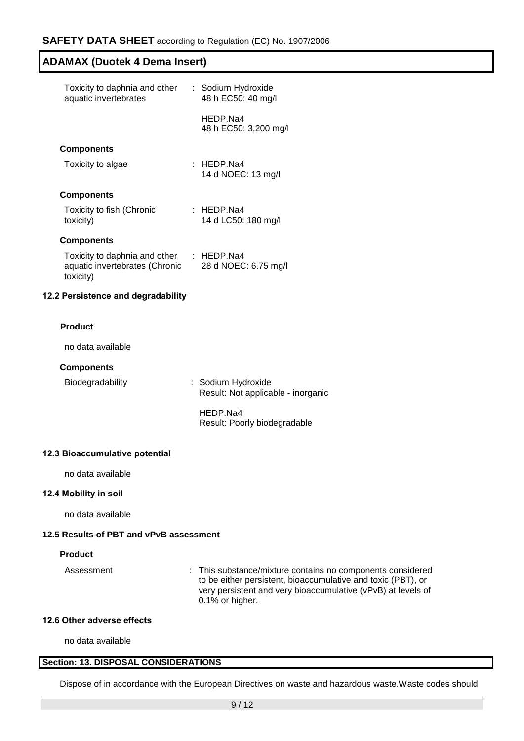| Toxicity to daphnia and other<br>aquatic invertebrates                       |  | : Sodium Hydroxide<br>48 h EC50: 40 mg/l |  |  |
|------------------------------------------------------------------------------|--|------------------------------------------|--|--|
|                                                                              |  | HEDP Na4<br>48 h EC50: 3,200 mg/l        |  |  |
| <b>Components</b>                                                            |  |                                          |  |  |
| Toxicity to algae                                                            |  | : HEDP.Na4<br>14 d NOEC: 13 mg/l         |  |  |
| <b>Components</b>                                                            |  |                                          |  |  |
| Toxicity to fish (Chronic<br>toxicity)                                       |  | : HEDP.Na4<br>14 d LC50: 180 mg/l        |  |  |
| <b>Components</b>                                                            |  |                                          |  |  |
| Toxicity to daphnia and other<br>aquatic invertebrates (Chronic<br>toxicity) |  | $\pm$ HEDP Na4<br>28 d NOEC: 6.75 mg/l   |  |  |

# **12.2 Persistence and degradability**

## **Product**

no data available

#### **Components**

Biodegradability : Sodium Hydroxide Result: Not applicable - inorganic

> HEDP.Na4 Result: Poorly biodegradable

# **12.3 Bioaccumulative potential**

no data available

#### **12.4 Mobility in soil**

no data available

# **12.5 Results of PBT and vPvB assessment**

## **Product**

Assessment : This substance/mixture contains no components considered to be either persistent, bioaccumulative and toxic (PBT), or very persistent and very bioaccumulative (vPvB) at levels of 0.1% or higher.

# **12.6 Other adverse effects**

no data available

# **Section: 13. DISPOSAL CONSIDERATIONS**

Dispose of in accordance with the European Directives on waste and hazardous waste.Waste codes should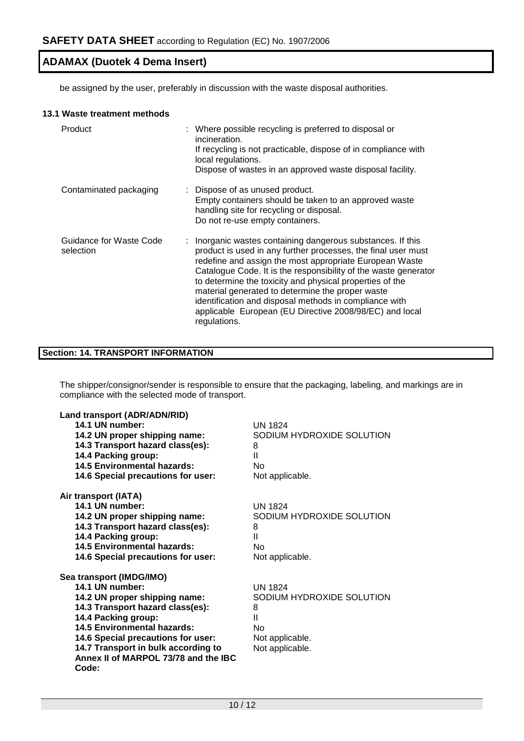be assigned by the user, preferably in discussion with the waste disposal authorities.

#### **13.1 Waste treatment methods**

| Product                              | : Where possible recycling is preferred to disposal or<br>incineration.<br>If recycling is not practicable, dispose of in compliance with<br>local regulations.<br>Dispose of wastes in an approved waste disposal facility.                                                                                                                                                                                                                                                                                    |  |
|--------------------------------------|-----------------------------------------------------------------------------------------------------------------------------------------------------------------------------------------------------------------------------------------------------------------------------------------------------------------------------------------------------------------------------------------------------------------------------------------------------------------------------------------------------------------|--|
| Contaminated packaging               | : Dispose of as unused product.<br>Empty containers should be taken to an approved waste<br>handling site for recycling or disposal.<br>Do not re-use empty containers.                                                                                                                                                                                                                                                                                                                                         |  |
| Guidance for Waste Code<br>selection | : Inorganic wastes containing dangerous substances. If this<br>product is used in any further processes, the final user must<br>redefine and assign the most appropriate European Waste<br>Catalogue Code. It is the responsibility of the waste generator<br>to determine the toxicity and physical properties of the<br>material generated to determine the proper waste<br>identification and disposal methods in compliance with<br>applicable European (EU Directive 2008/98/EC) and local<br>regulations. |  |

# **Section: 14. TRANSPORT INFORMATION**

The shipper/consignor/sender is responsible to ensure that the packaging, labeling, and markings are in compliance with the selected mode of transport.

| Land transport (ADR/ADN/RID)         |                           |
|--------------------------------------|---------------------------|
| 14.1 UN number:                      | <b>UN 1824</b>            |
| 14.2 UN proper shipping name:        | SODIUM HYDROXIDE SOLUTION |
| 14.3 Transport hazard class(es):     | 8                         |
| 14.4 Packing group:                  | Ш                         |
| <b>14.5 Environmental hazards:</b>   | No                        |
| 14.6 Special precautions for user:   | Not applicable.           |
| Air transport (IATA)                 |                           |
| 14.1 UN number:                      | UN 1824                   |
| 14.2 UN proper shipping name:        | SODIUM HYDROXIDE SOLUTION |
| 14.3 Transport hazard class(es):     | 8                         |
| 14.4 Packing group:                  | Ш                         |
| 14.5 Environmental hazards:          | Nο                        |
| 14.6 Special precautions for user:   | Not applicable.           |
| Sea transport (IMDG/IMO)             |                           |
| 14.1 UN number:                      | UN 1824                   |
| 14.2 UN proper shipping name:        | SODIUM HYDROXIDE SOLUTION |
| 14.3 Transport hazard class(es):     | 8                         |
| 14.4 Packing group:                  | Ш                         |
| <b>14.5 Environmental hazards:</b>   | No                        |
| 14.6 Special precautions for user:   | Not applicable.           |
| 14.7 Transport in bulk according to  | Not applicable.           |
| Annex II of MARPOL 73/78 and the IBC |                           |
| Code:                                |                           |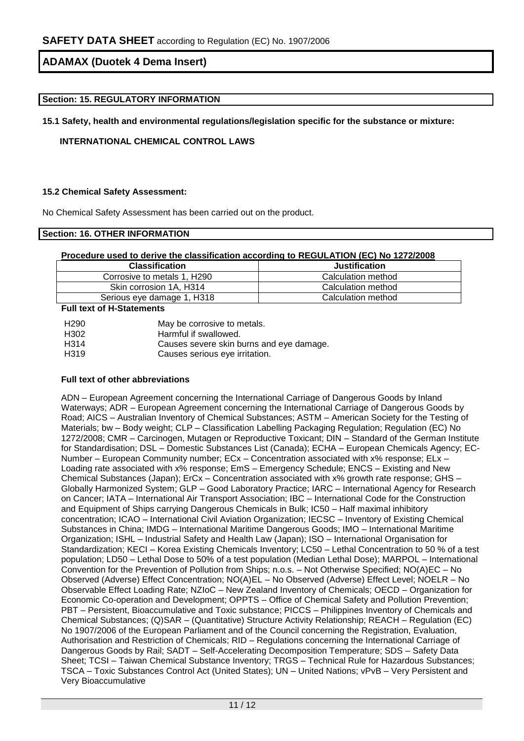## **Section: 15. REGULATORY INFORMATION**

**15.1 Safety, health and environmental regulations/legislation specific for the substance or mixture:**

**INTERNATIONAL CHEMICAL CONTROL LAWS**

#### **15.2 Chemical Safety Assessment:**

No Chemical Safety Assessment has been carried out on the product.

# **Section: 16. OTHER INFORMATION**

## **Procedure used to derive the classification according to REGULATION (EC) No 1272/2008**

| <b>Classification</b>       | <b>Justification</b> |
|-----------------------------|----------------------|
| Corrosive to metals 1, H290 | Calculation method   |
| Skin corrosion 1A, H314     | Calculation method   |
| Serious eye damage 1, H318  | Calculation method   |

**Full text of H-Statements**

| H <sub>290</sub>  | May be corrosive to metals.              |
|-------------------|------------------------------------------|
| H302              | Harmful if swallowed.                    |
| H <sub>314</sub>  | Causes severe skin burns and eye damage. |
| H <sub>3</sub> 19 | Causes serious eye irritation.           |

## **Full text of other abbreviations**

ADN – European Agreement concerning the International Carriage of Dangerous Goods by Inland Waterways; ADR – European Agreement concerning the International Carriage of Dangerous Goods by Road; AICS – Australian Inventory of Chemical Substances; ASTM – American Society for the Testing of Materials; bw - Body weight; CLP - Classification Labelling Packaging Regulation; Regulation (EC) No 1272/2008; CMR – Carcinogen, Mutagen or Reproductive Toxicant; DIN – Standard of the German Institute for Standardisation; DSL – Domestic Substances List (Canada); ECHA – European Chemicals Agency; EC-Number – European Community number; ECx – Concentration associated with x% response; ELx – Loading rate associated with x% response; EmS – Emergency Schedule; ENCS – Existing and New Chemical Substances (Japan); ErCx – Concentration associated with x% growth rate response; GHS – Globally Harmonized System; GLP – Good Laboratory Practice; IARC – International Agency for Research on Cancer; IATA – International Air Transport Association; IBC – International Code for the Construction and Equipment of Ships carrying Dangerous Chemicals in Bulk; IC50 – Half maximal inhibitory concentration; ICAO – International Civil Aviation Organization; IECSC – Inventory of Existing Chemical Substances in China; IMDG – International Maritime Dangerous Goods; IMO – International Maritime Organization; ISHL – Industrial Safety and Health Law (Japan); ISO – International Organisation for Standardization; KECI – Korea Existing Chemicals Inventory; LC50 – Lethal Concentration to 50 % of a test population; LD50 – Lethal Dose to 50% of a test population (Median Lethal Dose); MARPOL – International Convention for the Prevention of Pollution from Ships; n.o.s. – Not Otherwise Specified; NO(A)EC – No Observed (Adverse) Effect Concentration; NO(A)EL – No Observed (Adverse) Effect Level; NOELR – No Observable Effect Loading Rate; NZIoC – New Zealand Inventory of Chemicals; OECD – Organization for Economic Co-operation and Development; OPPTS – Office of Chemical Safety and Pollution Prevention; PBT – Persistent, Bioaccumulative and Toxic substance; PICCS – Philippines Inventory of Chemicals and Chemical Substances; (Q)SAR – (Quantitative) Structure Activity Relationship; REACH – Regulation (EC) No 1907/2006 of the European Parliament and of the Council concerning the Registration, Evaluation, Authorisation and Restriction of Chemicals; RID – Regulations concerning the International Carriage of Dangerous Goods by Rail; SADT – Self-Accelerating Decomposition Temperature; SDS – Safety Data Sheet; TCSI – Taiwan Chemical Substance Inventory; TRGS – Technical Rule for Hazardous Substances; TSCA – Toxic Substances Control Act (United States); UN – United Nations; vPvB – Very Persistent and Very Bioaccumulative